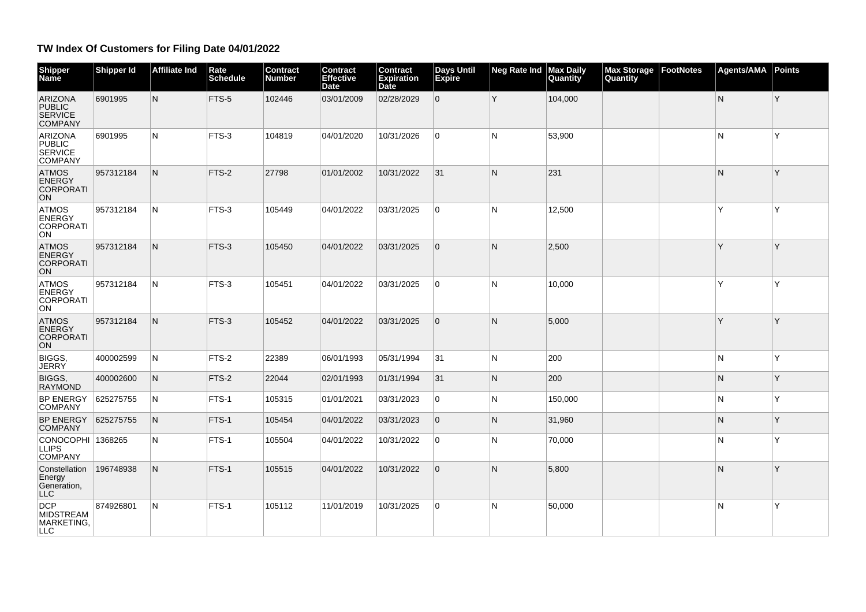## **TW Index Of Customers for Filing Date 04/01/2022**

| Shipper<br>Name                                                     | <b>Shipper Id</b> | <b>Affiliate Ind</b> | Rate<br><b>Schedule</b> | Contract<br><b>Number</b> | <b>Contract</b><br><b>Effective</b><br>Date | <b>Contract</b><br><b>Expiration</b><br><b>Date</b> | <b>Days Until</b><br>Expire | <b>Neg Rate Ind</b> | <b>Max Daily</b><br><b>Quantity</b> | <b>Max Storage</b><br>Quantity | FootNotes | <b>Agents/AMA</b> | Points |
|---------------------------------------------------------------------|-------------------|----------------------|-------------------------|---------------------------|---------------------------------------------|-----------------------------------------------------|-----------------------------|---------------------|-------------------------------------|--------------------------------|-----------|-------------------|--------|
| <b>ARIZONA</b><br><b>PUBLIC</b><br><b>SERVICE</b><br><b>COMPANY</b> | 6901995           | N.                   | FTS-5                   | 102446                    | 03/01/2009                                  | 02/28/2029                                          | $\overline{0}$              | Y                   | 104,000                             |                                |           | N                 | Y      |
| <b>ARIZONA</b><br><b>PUBLIC</b><br><b>SERVICE</b><br><b>COMPANY</b> | 6901995           | N                    | FTS-3                   | 104819                    | 04/01/2020                                  | 10/31/2026                                          | $\Omega$                    | N                   | 53,900                              |                                |           | N                 | Y      |
| <b>ATMOS</b><br><b>ENERGY</b><br><b>CORPORATI</b><br><b>ON</b>      | 957312184         | N                    | FTS-2                   | 27798                     | 01/01/2002                                  | 10/31/2022                                          | 31                          | N                   | 231                                 |                                |           | N                 | Y      |
| <b>ATMOS</b><br><b>ENERGY</b><br><b>CORPORATI</b><br><b>ON</b>      | 957312184         | N                    | FTS-3                   | 105449                    | 04/01/2022                                  | 03/31/2025                                          | 0                           | N                   | 12,500                              |                                |           | Y                 | Υ      |
| <b>ATMOS</b><br><b>ENERGY</b><br><b>CORPORATI</b><br><b>ON</b>      | 957312184         | N                    | FTS-3                   | 105450                    | 04/01/2022                                  | 03/31/2025                                          | $\Omega$                    | N                   | 2,500                               |                                |           | Y                 | Υ      |
| <b>ATMOS</b><br><b>ENERGY</b><br><b>CORPORATI</b><br><b>ON</b>      | 957312184         | N                    | FTS-3                   | 105451                    | 04/01/2022                                  | 03/31/2025                                          | $\mathbf 0$                 | N                   | 10,000                              |                                |           | Y                 | Υ      |
| <b>ATMOS</b><br><b>ENERGY</b><br><b>CORPORATI</b><br>ON             | 957312184         | N                    | FTS-3                   | 105452                    | 04/01/2022                                  | 03/31/2025                                          | $\mathbf{0}$                | N                   | 5,000                               |                                |           | Y                 | Υ      |
| <b>BIGGS</b><br><b>JERRY</b>                                        | 400002599         | N                    | FTS-2                   | 22389                     | 06/01/1993                                  | 05/31/1994                                          | 31                          | N                   | 200                                 |                                |           | N                 | Y      |
| BIGGS,<br><b>RAYMÓND</b>                                            | 400002600         | N                    | FTS-2                   | 22044                     | 02/01/1993                                  | 01/31/1994                                          | 31                          | $\mathsf{N}$        | 200                                 |                                |           | N                 | Y      |
| <b>BP ENERGY</b><br><b>COMPANY</b>                                  | 625275755         | N                    | FTS-1                   | 105315                    | 01/01/2021                                  | 03/31/2023                                          | $\mathbf 0$                 | N                   | 150,000                             |                                |           | N                 | Y      |
| <b>BP ENERGY</b><br><b>COMPANY</b>                                  | 625275755         | N.                   | FTS-1                   | 105454                    | 04/01/2022                                  | 03/31/2023                                          | $\mathbf{0}$                | N                   | 31,960                              |                                |           | N                 | Y      |
| CONOCOPHI 1368265<br><b>LLIPS</b><br><b>COMPANY</b>                 |                   | N                    | FTS-1                   | 105504                    | 04/01/2022                                  | 10/31/2022                                          | $\mathbf 0$                 | N                   | 70,000                              |                                |           | N                 | Y      |
| Constellation<br>Energy<br>Generation.<br><b>LLC</b>                | 196748938         | N                    | FTS-1                   | 105515                    | 04/01/2022                                  | 10/31/2022                                          | $\Omega$                    | $\mathsf{N}$        | 5,800                               |                                |           | N                 | Y      |
| <b>DCP</b><br><b>MIDSTREAM</b><br>MARKETING,<br>LLC                 | 874926801         | N                    | FTS-1                   | 105112                    | 11/01/2019                                  | 10/31/2025                                          | $\mathbf 0$                 | N                   | 50,000                              |                                |           | N                 | Y      |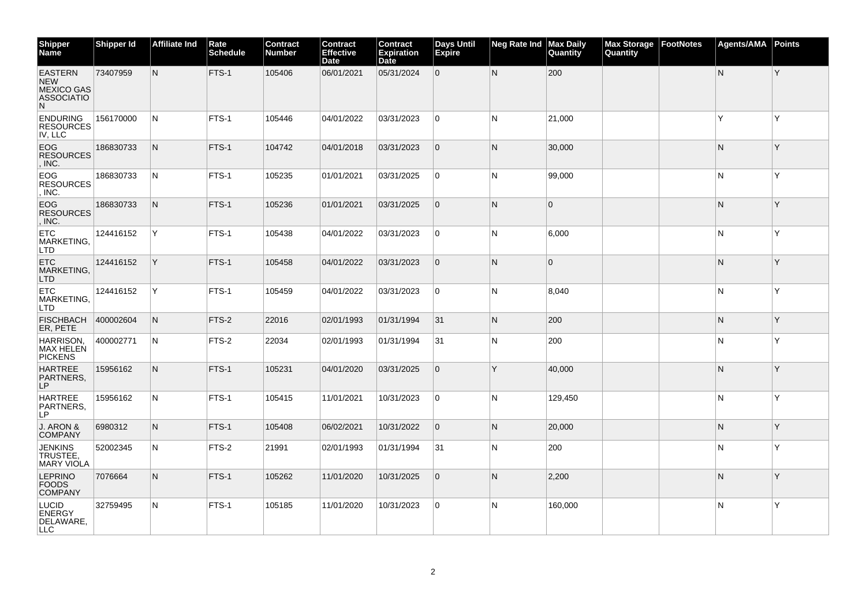| <b>Shipper</b><br><b>Name</b>                                               | <b>Shipper Id</b> | <b>Affiliate Ind</b> | Rate<br><b>Schedule</b> | <b>Contract</b><br>Number | <b>Contract</b><br><b>Effective</b><br><b>Date</b> | <b>Contract</b><br><b>Expiration</b><br>Date | Days Until<br>Expire | <b>Neg Rate Ind</b> | <b>Max Daily</b><br>Quantity | <b>Max Storage</b><br>Quantity | FootNotes | <b>Agents/AMA</b> | <b>Points</b> |
|-----------------------------------------------------------------------------|-------------------|----------------------|-------------------------|---------------------------|----------------------------------------------------|----------------------------------------------|----------------------|---------------------|------------------------------|--------------------------------|-----------|-------------------|---------------|
| <b>EASTERN</b><br><b>NEW</b><br><b>MEXICO GAS</b><br><b>ASSOCIATIO</b><br>N | 73407959          | $\mathsf{N}$         | FTS-1                   | 105406                    | 06/01/2021                                         | 05/31/2024                                   | 0                    | N                   | 200                          |                                |           | $\mathsf{N}$      | Y             |
| <b>ENDURING</b><br><b>RESOURCES</b><br>IV, LLC                              | 156170000         | IN.                  | FTS-1                   | 105446                    | 04/01/2022                                         | 03/31/2023                                   | 0                    | N                   | 21,000                       |                                |           | Y                 | Y             |
| <b>EOG</b><br><b>RESOURCES</b><br>. INC.                                    | 186830733         | $\mathsf{N}$         | FTS-1                   | 104742                    | 04/01/2018                                         | 03/31/2023                                   | $\overline{0}$       | N                   | 30,000                       |                                |           | $\mathsf{N}$      | Y             |
| EOG.<br><b>RESOURCES</b><br>. INC.                                          | 186830733         | N                    | FTS-1                   | 105235                    | 01/01/2021                                         | 03/31/2025                                   | 0                    | N                   | 99,000                       |                                |           | N                 | Υ             |
| EOG<br><b>RESOURCES</b><br>, INC.                                           | 186830733         | N                    | FTS-1                   | 105236                    | 01/01/2021                                         | 03/31/2025                                   | 0                    | N                   | $\Omega$                     |                                |           | N                 | Y             |
| <b>ETC</b><br>MARKETING,<br>LTD                                             | 124416152         | Y                    | FTS-1                   | 105438                    | 04/01/2022                                         | 03/31/2023                                   | 0                    | N                   | 6,000                        |                                |           | N                 | Y             |
| ETC<br>MARKETING,<br><b>LTD</b>                                             | 124416152         | Y                    | FTS-1                   | 105458                    | 04/01/2022                                         | 03/31/2023                                   | 0                    | N                   | $\mathbf{0}$                 |                                |           | N                 | Y             |
| <b>ETC</b><br>MARKETING,<br>LTD                                             | 124416152         | Y                    | FTS-1                   | 105459                    | 04/01/2022                                         | 03/31/2023                                   | 0                    | N                   | 8,040                        |                                |           | N                 | Υ             |
| <b>FISCHBACH</b><br>ER, PETE                                                | 400002604         | $\mathsf{N}$         | FTS-2                   | 22016                     | 02/01/1993                                         | 01/31/1994                                   | 31                   | N.                  | 200                          |                                |           | $\mathsf{N}$      | Y             |
| HARRISON,<br><b>MAX HELEN</b><br><b>PICKENS</b>                             | 400002771         | N                    | FTS-2                   | 22034                     | 02/01/1993                                         | 01/31/1994                                   | 31                   | N                   | 200                          |                                |           | N                 | Υ             |
| <b>HARTREE</b><br>PARTNERS.<br>LP                                           | 15956162          | N                    | FTS-1                   | 105231                    | 04/01/2020                                         | 03/31/2025                                   | 0                    | Y                   | 40,000                       |                                |           | N                 | Y             |
| <b>HARTREE</b><br>PARTNERS,<br>LP.                                          | 15956162          | N                    | FTS-1                   | 105415                    | 11/01/2021                                         | 10/31/2023                                   | 0                    | N                   | 129,450                      |                                |           | N                 | Υ             |
| J. ARON &<br><b>COMPANY</b>                                                 | 6980312           | N                    | FTS-1                   | 105408                    | 06/02/2021                                         | 10/31/2022                                   | 0                    | N                   | 20,000                       |                                |           | $\mathsf{N}$      | Y             |
| <b>JENKINS</b><br>TRUSTEE,<br><b>MARY VIOLA</b>                             | 52002345          | N                    | FTS-2                   | 21991                     | 02/01/1993                                         | 01/31/1994                                   | 31                   | N                   | 200                          |                                |           | N                 | Υ             |
| <b>LEPRINO</b><br><b>FOODS</b><br><b>COMPANY</b>                            | 7076664           | N                    | FTS-1                   | 105262                    | 11/01/2020                                         | 10/31/2025                                   | 0                    | N                   | 2,200                        |                                |           | N                 | Y             |
| <b>LUCID</b><br><b>ENERGY</b><br>DELAWARE,<br>LLC                           | 32759495          | N                    | FTS-1                   | 105185                    | 11/01/2020                                         | 10/31/2023                                   | 0                    | N                   | 160,000                      |                                |           | N                 | Y             |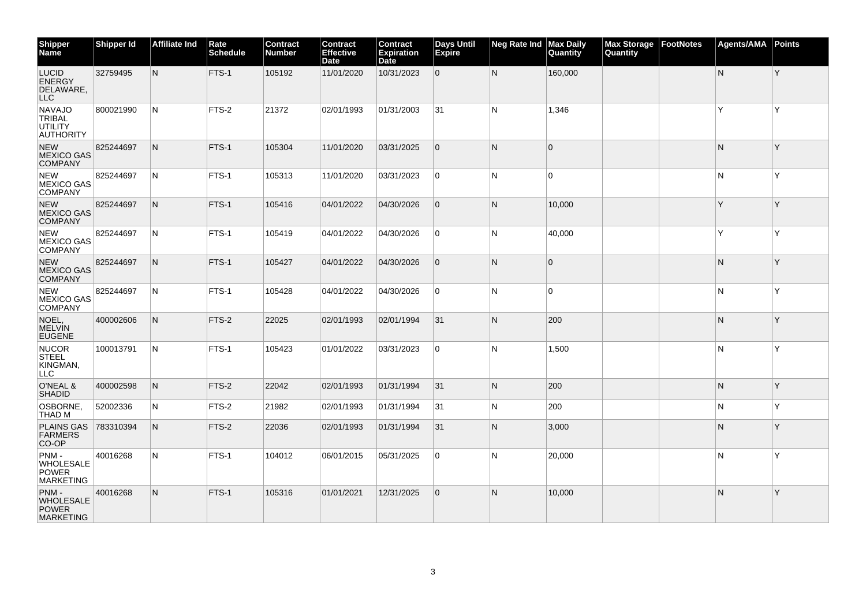| <b>Shipper</b><br><b>Name</b>                                 | <b>Shipper Id</b> | <b>Affiliate Ind</b> | Rate<br><b>Schedule</b> | <b>Contract</b><br>Number | Contract<br><b>Effective</b><br><b>Date</b> | <b>Contract</b><br><b>Expiration</b><br>Date | Days Until<br>Expire | <b>Neg Rate Ind</b> | <b>Max Daily</b><br>Quantity | <b>Max Storage</b><br>Quantity | FootNotes | <b>Agents/AMA</b> | Points   |
|---------------------------------------------------------------|-------------------|----------------------|-------------------------|---------------------------|---------------------------------------------|----------------------------------------------|----------------------|---------------------|------------------------------|--------------------------------|-----------|-------------------|----------|
| <b>LUCID</b><br><b>ENERGY</b><br>DELAWARE,<br><b>LLC</b>      | 32759495          | $\mathsf{N}$         | FTS-1                   | 105192                    | 11/01/2020                                  | 10/31/2023                                   | $\overline{0}$       | N                   | 160,000                      |                                |           | ${\sf N}$         | Y        |
| <b>NAVAJO</b><br><b>TRIBAL</b><br>UTILITY<br><b>AUTHORITY</b> | 800021990         | N                    | FTS-2                   | 21372                     | 02/01/1993                                  | 01/31/2003                                   | 31                   | N                   | 1,346                        |                                |           | Y                 | <b>Y</b> |
| <b>NEW</b><br><b>MEXICO GAS</b><br><b>COMPANY</b>             | 825244697         | $\mathsf{N}$         | FTS-1                   | 105304                    | 11/01/2020                                  | 03/31/2025                                   | 0                    | N                   | $\Omega$                     |                                |           | N                 | Y        |
| <b>NEW</b><br><b>MEXICO GAS</b><br><b>COMPANY</b>             | 825244697         | N                    | FTS-1                   | 105313                    | 11/01/2020                                  | 03/31/2023                                   | 0                    | N                   | $\overline{0}$               |                                |           | N                 | Y        |
| <b>NEW</b><br><b>MEXICO GAS</b><br><b>COMPANY</b>             | 825244697         | N                    | FTS-1                   | 105416                    | 04/01/2022                                  | 04/30/2026                                   | 0                    | N                   | 10,000                       |                                |           | Y                 | Y        |
| <b>NEW</b><br><b>MEXICO GAS</b><br><b>COMPANY</b>             | 825244697         | N                    | FTS-1                   | 105419                    | 04/01/2022                                  | 04/30/2026                                   | 0                    | N                   | 40,000                       |                                |           | Y                 | Υ        |
| <b>NEW</b><br><b>MEXICO GAS</b><br><b>COMPANY</b>             | 825244697         | N                    | FTS-1                   | 105427                    | 04/01/2022                                  | 04/30/2026                                   | 0                    | N                   | $\Omega$                     |                                |           | N                 | Y        |
| <b>NEW</b><br><b>MEXICO GAS</b><br><b>COMPANY</b>             | 825244697         | N                    | FTS-1                   | 105428                    | 04/01/2022                                  | 04/30/2026                                   | 0                    | N                   | $\Omega$                     |                                |           | N                 | Y        |
| NOEL,<br><b>MELVIN</b><br><b>EUGENE</b>                       | 400002606         | N                    | FTS-2                   | 22025                     | 02/01/1993                                  | 02/01/1994                                   | 31                   | N                   | 200                          |                                |           | N                 | Y        |
| <b>NUCOR</b><br><b>STEEL</b><br>KINGMAN,<br>LLC               | 100013791         | N                    | FTS-1                   | 105423                    | 01/01/2022                                  | 03/31/2023                                   | 0                    | N                   | 1,500                        |                                |           | N                 | Υ        |
| O'NEAL &<br><b>SHADID</b>                                     | 400002598         | N                    | FTS-2                   | 22042                     | 02/01/1993                                  | 01/31/1994                                   | 31                   | N.                  | 200                          |                                |           | N                 | Y        |
| OSBORNE,<br>THAD M                                            | 52002336          | N                    | FTS-2                   | 21982                     | 02/01/1993                                  | 01/31/1994                                   | 31                   | N                   | 200                          |                                |           | N                 | Υ        |
| <b>PLAINS GAS</b><br><b>FARMERS</b><br>CO-OP                  | 783310394         | N                    | FTS-2                   | 22036                     | 02/01/1993                                  | 01/31/1994                                   | 31                   | N                   | 3,000                        |                                |           | N                 | Y        |
| PNM-<br>WHOLESALE<br><b>POWER</b><br><b>MARKETING</b>         | 40016268          | N                    | FTS-1                   | 104012                    | 06/01/2015                                  | 05/31/2025                                   | 0                    | N                   | 20,000                       |                                |           | N                 | Y        |
| PNM-<br><b>WHOLESALE</b><br><b>POWER</b><br><b>MARKETING</b>  | 40016268          | N                    | FTS-1                   | 105316                    | 01/01/2021                                  | 12/31/2025                                   | 0                    | N                   | 10,000                       |                                |           | N                 | Y        |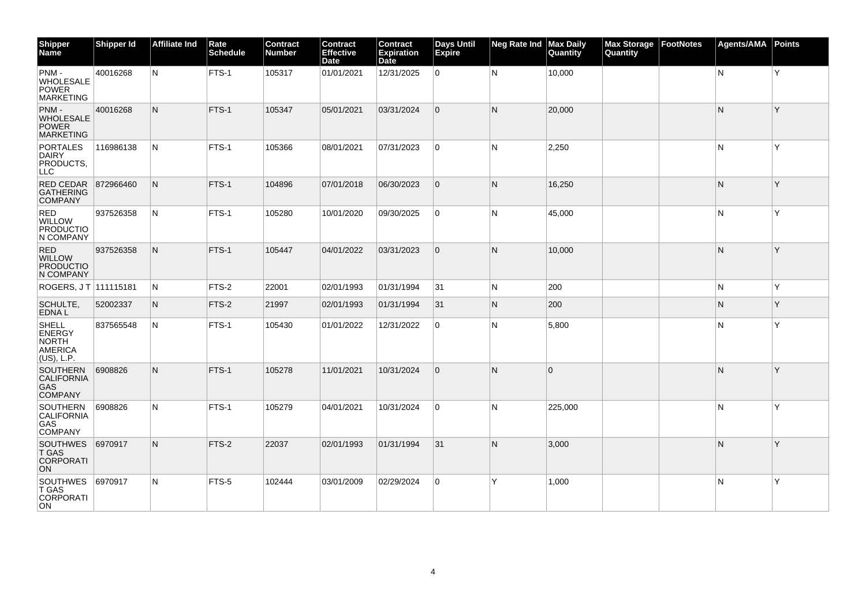| <b>Shipper</b><br><b>Name</b>                                                 | Shipper Id | <b>Affiliate Ind</b> | Rate<br><b>Schedule</b> | Contract<br>Number | <b>Contract</b><br>Effective<br><b>Date</b> | <b>Contract</b><br><b>Expiration</b><br>Date | <b>Days Until</b><br>Expire | <b>Neg Rate Ind</b> | <b>Max Daily</b><br>Quantity | <b>Max Storage</b><br>Quantity | <b>FootNotes</b> | <b>Agents/AMA</b> | <b>Points</b> |
|-------------------------------------------------------------------------------|------------|----------------------|-------------------------|--------------------|---------------------------------------------|----------------------------------------------|-----------------------------|---------------------|------------------------------|--------------------------------|------------------|-------------------|---------------|
| PNM-<br><b>WHOLESALE</b><br><b>POWER</b><br><b>MARKETING</b>                  | 40016268   | N                    | FTS-1                   | 105317             | 01/01/2021                                  | 12/31/2025                                   | 0                           | N                   | 10,000                       |                                |                  | N                 | İΥ.           |
| PNM-<br><b>WHOLESALE</b><br><b>POWER</b><br><b>MARKETING</b>                  | 40016268   | N                    | FTS-1                   | 105347             | 05/01/2021                                  | 03/31/2024                                   | 0                           | N                   | 20,000                       |                                |                  | N                 | Y             |
| <b>PORTALES</b><br><b>DAIRY</b><br>PRODUCTS,<br>LLC.                          | 116986138  | N                    | FTS-1                   | 105366             | 08/01/2021                                  | 07/31/2023                                   | 0                           | N                   | 2,250                        |                                |                  | N                 | Y             |
| RED CEDAR<br><b>GATHERING</b><br><b>COMPANY</b>                               | 872966460  | N                    | FTS-1                   | 104896             | 07/01/2018                                  | 06/30/2023                                   | 0                           | N                   | 16,250                       |                                |                  | N                 | Y             |
| <b>RED</b><br>WILLOW<br><b>PRODUCTIO</b><br>N COMPANY                         | 937526358  | N                    | FTS-1                   | 105280             | 10/01/2020                                  | 09/30/2025                                   | 0                           | N                   | 45,000                       |                                |                  | N                 | Y             |
| <b>RED</b><br><b>WILLOW</b><br><b>PRODUCTIO</b><br>N COMPANY                  | 937526358  | N                    | FTS-1                   | 105447             | 04/01/2022                                  | 03/31/2023                                   | 0                           | N                   | 10,000                       |                                |                  | N                 | Y             |
| ROGERS, JT 111115181                                                          |            | N                    | FTS-2                   | 22001              | 02/01/1993                                  | 01/31/1994                                   | 31                          | N                   | 200                          |                                |                  | N                 | Υ             |
| SCHULTE,<br>EDNA L                                                            | 52002337   | N                    | FTS-2                   | 21997              | 02/01/1993                                  | 01/31/1994                                   | 31                          | N                   | 200                          |                                |                  | N                 | ٧             |
| <b>SHELL</b><br><b>ENERGY</b><br><b>NORTH</b><br><b>AMERICA</b><br>(US), L.P. | 837565548  | N                    | FTS-1                   | 105430             | 01/01/2022                                  | 12/31/2022                                   | 0                           | N                   | 5,800                        |                                |                  | N                 | Y             |
| <b>SOUTHERN</b><br><b>CALIFORNIA</b><br>GAS.<br><b>COMPANY</b>                | 6908826    | N                    | FTS-1                   | 105278             | 11/01/2021                                  | 10/31/2024                                   | l 0                         | N                   | $\Omega$                     |                                |                  | N                 | Y             |
| <b>SOUTHERN</b><br><b>CALIFORNIA</b><br>GAS.<br><b>COMPANY</b>                | 6908826    | N                    | FTS-1                   | 105279             | 04/01/2021                                  | 10/31/2024                                   | 0                           | N                   | 225,000                      |                                |                  | N                 | Υ             |
| <b>SOUTHWES</b><br>T GAS<br><b>CORPORATI</b><br><b>ON</b>                     | 6970917    | N                    | FTS-2                   | 22037              | 02/01/1993                                  | 01/31/1994                                   | 31                          | N                   | 3,000                        |                                |                  | N                 | Y             |
| <b>SOUTHWES</b><br><b>T GAS</b><br><b>CORPORATI</b><br>ON.                    | 6970917    | N                    | FTS-5                   | 102444             | 03/01/2009                                  | 02/29/2024                                   | 0                           | Υ                   | 1,000                        |                                |                  | N                 | Y             |